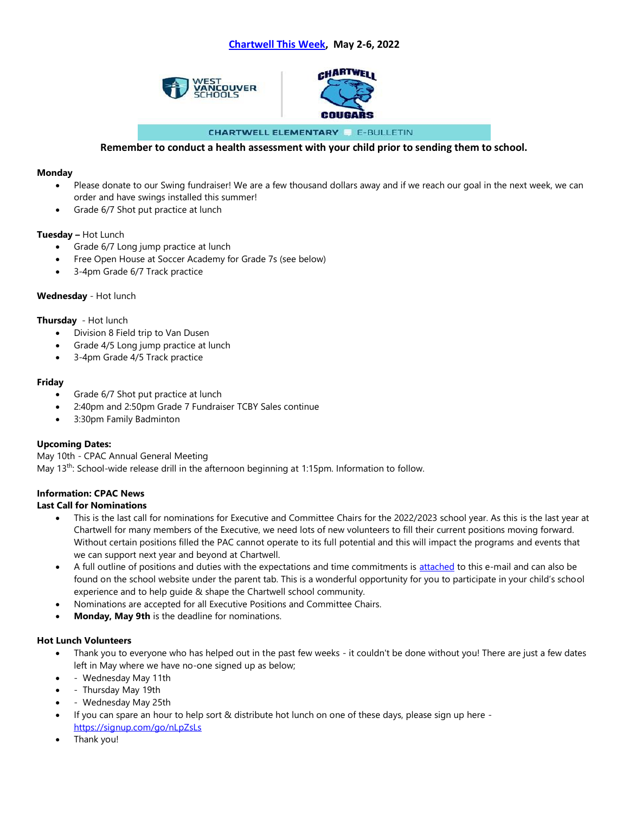



**CHARTWELL ELEMENTARY & E-BULLETIN** 

# **Remember to conduct a health assessment with your child prior to sending them to school.**

#### **Monday**

- Please donate to our Swing fundraiser! We are a few thousand dollars away and if we reach our goal in the next week, we can order and have swings installed this summer!
- Grade 6/7 Shot put practice at lunch

# **Tuesday –** Hot Lunch

- Grade 6/7 Long jump practice at lunch
- Free Open House at Soccer Academy for Grade 7s (see below)
- 3-4pm Grade 6/7 Track practice

# **Wednesday** - Hot lunch

# **Thursday** - Hot lunch

- Division 8 Field trip to Van Dusen
- Grade 4/5 Long jump practice at lunch
- 3-4pm Grade 4/5 Track practice

# **Friday**

- Grade 6/7 Shot put practice at lunch
- 2:40pm and 2:50pm Grade 7 Fundraiser TCBY Sales continue
- 3:30pm Family Badminton

# **Upcoming Dates:**

May 10th - CPAC Annual General Meeting May 13th: School-wide release drill in the afternoon beginning at 1:15pm. Information to follow.

# **Information: CPAC News**

#### **Last Call for Nominations**

- This is the last call for nominations for Executive and Committee Chairs for the 2022/2023 school year. As this is the last year at Chartwell for many members of the Executive, we need lots of new volunteers to fill their current positions moving forward. Without certain positions filled the PAC cannot operate to its full potential and this will impact the programs and events that we can support next year and beyond at Chartwell.
- A full outline of positions and duties with the expectations and time commitments is [attached](https://cac-word-edit.officeapps.live.com/wvsd45/emailattachment.php?id=3548&caid=5009&name=CPAC%20-%20Available%20Positions%20&%20Descriptions.docx) to this e-mail and can also be found on the school website under the parent tab. This is a wonderful opportunity for you to participate in your child's school experience and to help guide & shape the Chartwell school community.
- Nominations are accepted for all Executive Positions and Committee Chairs.
- **Monday, May 9th** is the deadline for nominations.

#### **Hot Lunch Volunteers**

- Thank you to everyone who has helped out in the past few weeks it couldn't be done without you! There are just a few dates left in May where we have no-one signed up as below;
- - Wednesday May 11th
- - Thursday May 19th
- - Wednesday May 25th
- If you can spare an hour to help sort & distribute hot lunch on one of these days, please sign up here <https://signup.com/go/nLpZsLs>
- Thank you!